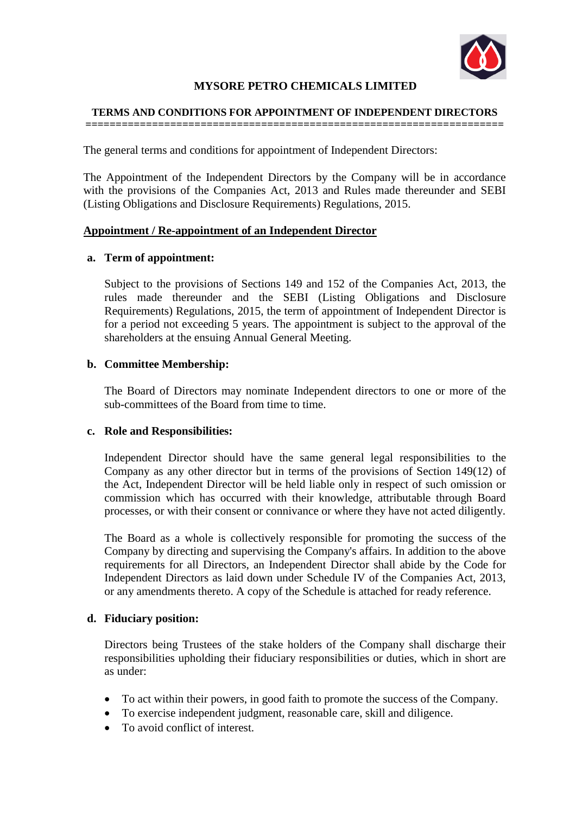

# **MYSORE PETRO CHEMICALS LIMITED**

#### **TERMS AND CONDITIONS FOR APPOINTMENT OF INDEPENDENT DIRECTORS =====================================================================**

The general terms and conditions for appointment of Independent Directors:

The Appointment of the Independent Directors by the Company will be in accordance with the provisions of the Companies Act, 2013 and Rules made thereunder and SEBI (Listing Obligations and Disclosure Requirements) Regulations, 2015.

#### **Appointment / Re-appointment of an Independent Director**

#### **a. Term of appointment:**

Subject to the provisions of Sections 149 and 152 of the Companies Act, 2013, the rules made thereunder and the SEBI (Listing Obligations and Disclosure Requirements) Regulations, 2015, the term of appointment of Independent Director is for a period not exceeding 5 years. The appointment is subject to the approval of the shareholders at the ensuing Annual General Meeting.

#### **b. Committee Membership:**

The Board of Directors may nominate Independent directors to one or more of the sub-committees of the Board from time to time.

#### **c. Role and Responsibilities:**

Independent Director should have the same general legal responsibilities to the Company as any other director but in terms of the provisions of Section 149(12) of the Act, Independent Director will be held liable only in respect of such omission or commission which has occurred with their knowledge, attributable through Board processes, or with their consent or connivance or where they have not acted diligently.

The Board as a whole is collectively responsible for promoting the success of the Company by directing and supervising the Company's affairs. In addition to the above requirements for all Directors, an Independent Director shall abide by the Code for Independent Directors as laid down under Schedule IV of the Companies Act, 2013, or any amendments thereto. A copy of the Schedule is attached for ready reference.

#### **d. Fiduciary position:**

Directors being Trustees of the stake holders of the Company shall discharge their responsibilities upholding their fiduciary responsibilities or duties, which in short are as under:

- To act within their powers, in good faith to promote the success of the Company.
- To exercise independent judgment, reasonable care, skill and diligence.
- To avoid conflict of interest.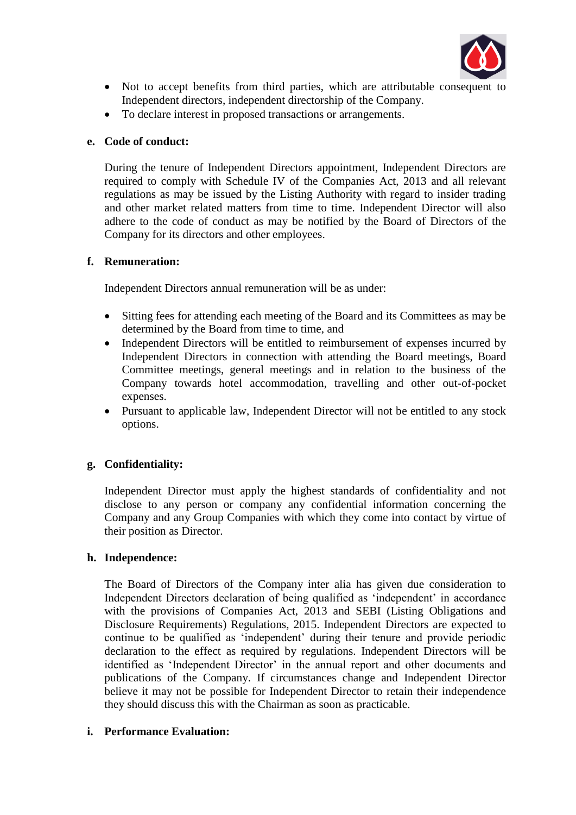

- Not to accept benefits from third parties, which are attributable consequent to Independent directors, independent directorship of the Company.
- To declare interest in proposed transactions or arrangements.

# **e. Code of conduct:**

During the tenure of Independent Directors appointment, Independent Directors are required to comply with Schedule IV of the Companies Act, 2013 and all relevant regulations as may be issued by the Listing Authority with regard to insider trading and other market related matters from time to time. Independent Director will also adhere to the code of conduct as may be notified by the Board of Directors of the Company for its directors and other employees.

## **f. Remuneration:**

Independent Directors annual remuneration will be as under:

- Sitting fees for attending each meeting of the Board and its Committees as may be determined by the Board from time to time, and
- Independent Directors will be entitled to reimbursement of expenses incurred by Independent Directors in connection with attending the Board meetings, Board Committee meetings, general meetings and in relation to the business of the Company towards hotel accommodation, travelling and other out-of-pocket expenses.
- Pursuant to applicable law, Independent Director will not be entitled to any stock options.

## **g. Confidentiality:**

Independent Director must apply the highest standards of confidentiality and not disclose to any person or company any confidential information concerning the Company and any Group Companies with which they come into contact by virtue of their position as Director.

## **h. Independence:**

The Board of Directors of the Company inter alia has given due consideration to Independent Directors declaration of being qualified as 'independent' in accordance with the provisions of Companies Act, 2013 and SEBI (Listing Obligations and Disclosure Requirements) Regulations, 2015. Independent Directors are expected to continue to be qualified as 'independent' during their tenure and provide periodic declaration to the effect as required by regulations. Independent Directors will be identified as 'Independent Director' in the annual report and other documents and publications of the Company. If circumstances change and Independent Director believe it may not be possible for Independent Director to retain their independence they should discuss this with the Chairman as soon as practicable.

## **i. Performance Evaluation:**